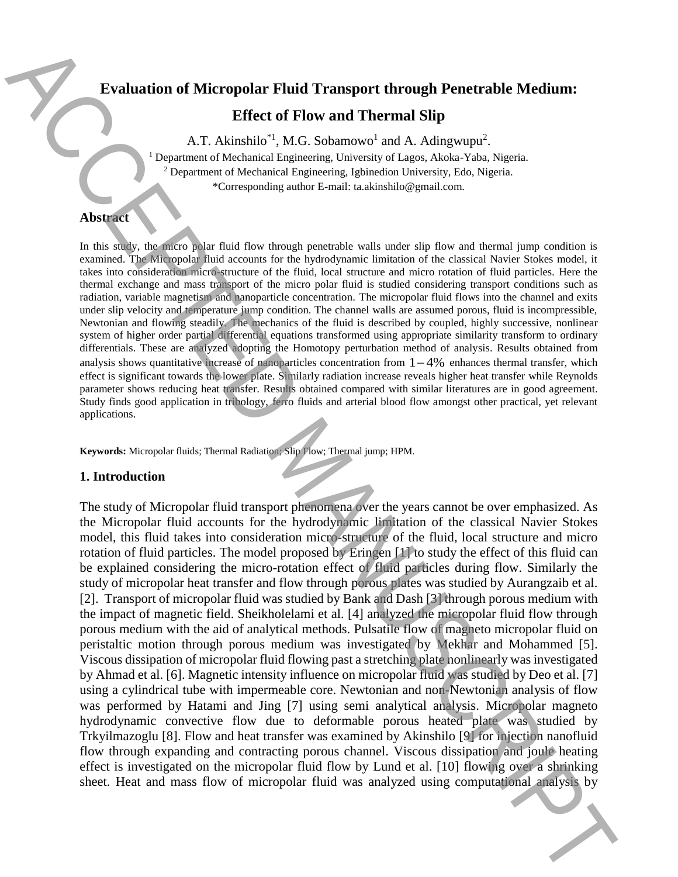# **Evaluation of Micropolar Fluid Transport through Penetrable Medium:**

## **Effect of Flow and Thermal Slip**

A.T. Akinshilo<sup>\*1</sup>, M.G. Sobamowo<sup>1</sup> and A. Adingwupu<sup>2</sup>.

<sup>1</sup> Department of Mechanical Engineering, University of Lagos, Akoka-Yaba, Nigeria.  $2$  Department of Mechanical Engineering, Igbinedion University, Edo, Nigeria. \*Corresponding author E-mail: ta.akinshilo@gmail.com.

### **Abstract**

In this study, the micro polar fluid flow through penetrable walls under slip flow and thermal jump condition is examined. The Micropolar fluid accounts for the hydrodynamic limitation of the classical Navier Stokes model, it takes into consideration micro-structure of the fluid, local structure and micro rotation of fluid particles. Here the thermal exchange and mass transport of the micro polar fluid is studied considering transport conditions such as radiation, variable magnetism and nanoparticle concentration. The micropolar fluid flows into the channel and exits under slip velocity and temperature jump condition. The channel walls are assumed porous, fluid is incompressible, Newtonian and flowing steadily. The mechanics of the fluid is described by coupled, highly successive, nonlinear system of higher order partial differential equations transformed using appropriate similarity transform to ordinary differentials. These are analyzed adopting the Homotopy perturbation method of analysis. Results obtained from analysis shows quantitative increase of nanoparticles concentration from  $1-4%$  enhances thermal transfer, which effect is significant towards the lower plate. Similarly radiation increase reveals higher heat transfer while Reynolds parameter shows reducing heat transfer. Results obtained compared with similar literatures are in good agreement. Study finds good application in tribology, ferro fluids and arterial blood flow amongst other practical, yet relevant applications.

**Keywords:** Micropolar fluids; Thermal Radiation; Slip Flow; Thermal jump; HPM.

#### **1. Introduction**

The study of Micropolar fluid transport phenomena over the years cannot be over emphasized. As the Micropolar fluid accounts for the hydrodynamic limitation of the classical Navier Stokes model, this fluid takes into consideration micro-structure of the fluid, local structure and micro rotation of fluid particles. The model proposed by Eringen [1] to study the effect of this fluid can be explained considering the micro-rotation effect of fluid particles during flow. Similarly the study of micropolar heat transfer and flow through porous plates was studied by Aurangzaib et al. [2]. Transport of micropolar fluid was studied by Bank and Dash [3] through porous medium with the impact of magnetic field. Sheikholelami et al. [4] analyzed the micropolar fluid flow through porous medium with the aid of analytical methods. Pulsatile flow of magneto micropolar fluid on peristaltic motion through porous medium was investigated by Mekhar and Mohammed [5]. Viscous dissipation of micropolar fluid flowing past a stretching plate nonlinearly was investigated by Ahmad et al. [6]. Magnetic intensity influence on micropolar fluid was studied by Deo et al. [7] using a cylindrical tube with impermeable core. Newtonian and non-Newtonian analysis of flow was performed by Hatami and Jing [7] using semi analytical analysis. Micropolar magneto hydrodynamic convective flow due to deformable porous heated plate was studied by Trkyilmazoglu [8]. Flow and heat transfer was examined by Akinshilo [9] for injection nanofluid flow through expanding and contracting porous channel. Viscous dissipation and joule heating effect is investigated on the micropolar fluid flow by Lund et al. [10] flowing over a shrinking Strainardon of Microsphar Fluid Transport through Penetrable Medium:<br>
Free of Flow and Thermal SRip<br>
A.T. Akiashio<sup>7</sup>. N.G. Sohanovo<sup>2</sup> and A.Ashaqovo<sup>2</sup> and Ashaqovo<sup>2</sup> and Ashaqovo<sup>2</sup> and Sohanovo<sup>2</sup> and Ashaqovo<sup>2</sup> and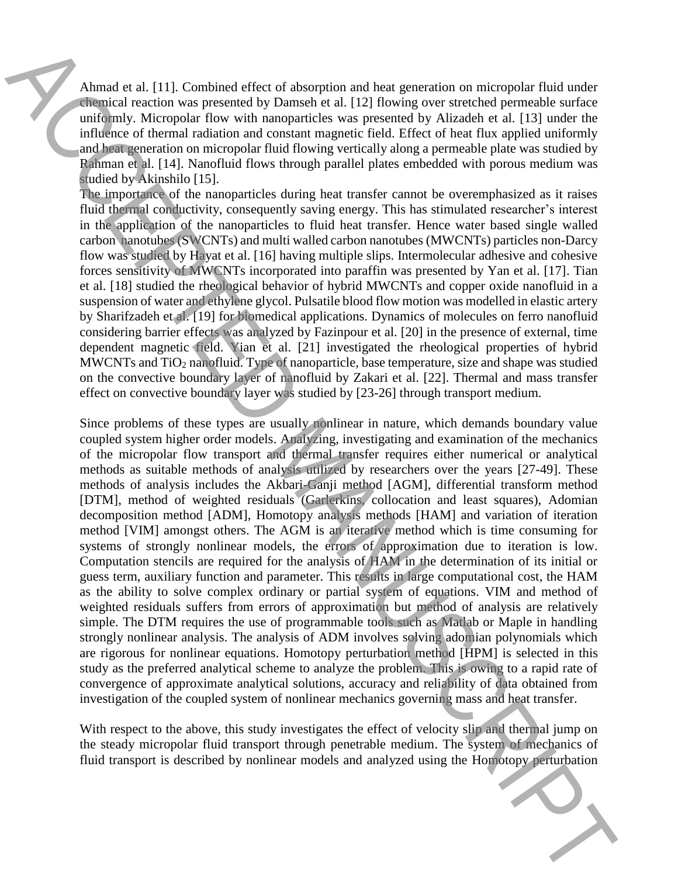Ahmad et al. [11]. Combined effect of absorption and heat generation on micropolar fluid under chemical reaction was presented by Damseh et al. [12] flowing over stretched permeable surface uniformly. Micropolar flow with nanoparticles was presented by Alizadeh et al. [13] under the influence of thermal radiation and constant magnetic field. Effect of heat flux applied uniformly and heat generation on micropolar fluid flowing vertically along a permeable plate was studied by Rahman et al. [14]. Nanofluid flows through parallel plates embedded with porous medium was studied by Akinshilo [15].

The importance of the nanoparticles during heat transfer cannot be overemphasized as it raises fluid thermal conductivity, consequently saving energy. This has stimulated researcher's interest in the application of the nanoparticles to fluid heat transfer. Hence water based single walled carbon nanotubes (SWCNTs) and multi walled carbon nanotubes (MWCNTs) particles non-Darcy flow was studied by Hayat et al. [16] having multiple slips. Intermolecular adhesive and cohesive forces sensitivity of MWCNTs incorporated into paraffin was presented by Yan et al. [17]. Tian et al. [18] studied the rheological behavior of hybrid MWCNTs and copper oxide nanofluid in a suspension of water and ethylene glycol. Pulsatile blood flow motion was modelled in elastic artery by Sharifzadeh et al. [19] for biomedical applications. Dynamics of molecules on ferro nanofluid considering barrier effects was analyzed by Fazinpour et al. [20] in the presence of external, time dependent magnetic field. Yian et al. [21] investigated the rheological properties of hybrid MWCNTs and TiO<sup>2</sup> nanofluid. Type of nanoparticle, base temperature, size and shape was studied on the convective boundary layer of nanofluid by Zakari et al. [22]. Thermal and mass transfer effect on convective boundary layer was studied by [23-26] through transport medium.

Since problems of these types are usually nonlinear in nature, which demands boundary value coupled system higher order models. Analyzing, investigating and examination of the mechanics of the micropolar flow transport and thermal transfer requires either numerical or analytical methods as suitable methods of analysis utilized by researchers over the years [27-49]. These methods of analysis includes the Akbari-Ganji method [AGM], differential transform method [DTM], method of weighted residuals (Garlerkins, collocation and least squares), Adomian decomposition method [ADM], Homotopy analysis methods [HAM] and variation of iteration method [VIM] amongst others. The AGM is an iterative method which is time consuming for systems of strongly nonlinear models, the errors of approximation due to iteration is low. Computation stencils are required for the analysis of HAM in the determination of its initial or guess term, auxiliary function and parameter. This results in large computational cost, the HAM as the ability to solve complex ordinary or partial system of equations. VIM and method of weighted residuals suffers from errors of approximation but method of analysis are relatively simple. The DTM requires the use of programmable tools such as Matlab or Maple in handling strongly nonlinear analysis. The analysis of ADM involves solving adomian polynomials which are rigorous for nonlinear equations. Homotopy perturbation method [HPM] is selected in this study as the preferred analytical scheme to analyze the problem. This is owing to a rapid rate of convergence of approximate analytical solutions, accuracy and reliability of data obtained from investigation of the coupled system of nonlinear mechanics governing mass and heat transfer. Ahmad et al. 1111 Combined effect of abosption and loon generation on micropolar fluid transport is described by nonlinear models and the state of an anti-<br>
interaction and the state models and the Homotopy perturbation A

With respect to the above, this study investigates the effect of velocity slip and thermal jump on the steady micropolar fluid transport through penetrable medium. The system of mechanics of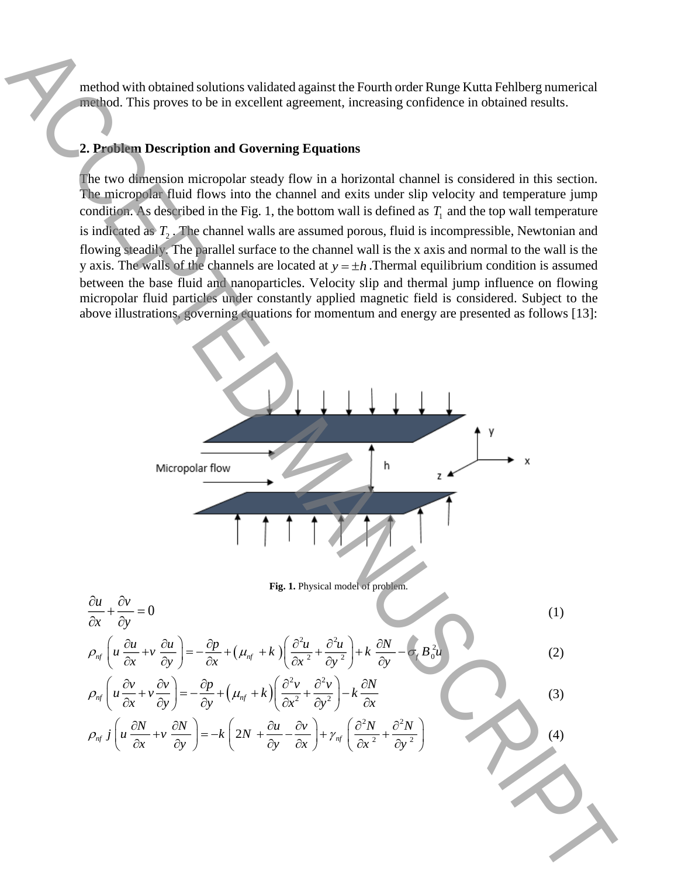method with obtained solutions validated against the Fourth order Runge Kutta Fehlberg numerical method. This proves to be in excellent agreement, increasing confidence in obtained results.

## **2. Problem Description and Governing Equations**

The two dimension micropolar steady flow in a horizontal channel is considered in this section. The micropolar fluid flows into the channel and exits under slip velocity and temperature jump condition. As described in the Fig. 1, the bottom wall is defined as  $T_1$  and the top wall temperature is indicated as  $T_2$ . The channel walls are assumed porous, fluid is incompressible, Newtonian and flowing steadily. The parallel surface to the channel wall is the x axis and normal to the wall is the y axis. The walls of the channels are located at  $y = \pm h$ . Thermal equilibrium condition is assumed between the base fluid and nanoparticles. Velocity slip and thermal jump influence on flowing micropolar fluid particles under constantly applied magnetic field is considered. Subject to the above illustrations, governing equations for momentum and energy are presented as follows [13]:

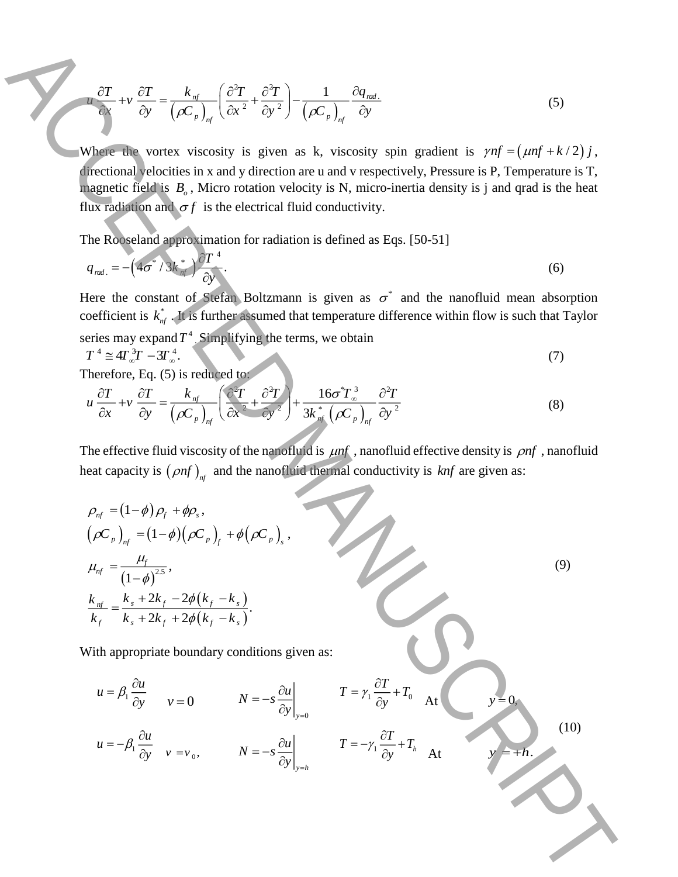$$
\frac{\partial T}{\partial x} + v \frac{\partial T}{\partial y} = \frac{k_{nf}}{\left(\rho C_p\right)_{nf}} \left(\frac{\partial^2 T}{\partial x^2} + \frac{\partial^2 T}{\partial y^2}\right) - \frac{1}{\left(\rho C_p\right)_{nf}} \frac{\partial q_{nd}}{\partial y}.
$$
\n(5)

Where the vortex viscosity is given as k, viscosity spin gradient is  $\gamma nf = (\mu nf + k/2)j$ , directional velocities in x and y direction are u and v respectively, Pressure is P, Temperature is T, magnetic field is  $B_{\rho}$ , Micro rotation velocity is N, micro-inertia density is j and qrad is the heat flux radiation and  $\sigma f$  is the electrical fluid conductivity.

The Rooseland approximation for radiation is defined as Eqs. [50-51]

$$
q_{\text{rad.}} = -\left(4\sigma^* / 3k_{\text{mf}}^*\right) \frac{\partial T^4}{\partial y^*}.
$$

Here the constant of Stefan Boltzmann is given as  $\sigma^*$  and the nanofluid mean absorption coefficient is  $k_{nf}^*$ . It is further assumed that temperature difference within flow is such that Taylor series may expand  $T^4$ . Simplifying the terms, we obtain

$$
T^4 \cong 4T_{\infty}^3 T - 3T_{\infty}^4. \tag{7}
$$

Therefore, Eq. (5) is reduced to:

$$
u\frac{\partial T}{\partial x} + v\frac{\partial T}{\partial y} = \frac{k_{nf}}{\left(\rho C_p\right)_{nf}} \left(\frac{\partial^2 T}{\partial x^2} + \frac{\partial^2 T}{\partial y^2}\right) + \frac{16\sigma^2 T_{\infty}^3}{3k_{nf}^* \left(\rho C_p\right)_{nf}} \frac{\partial^2 T}{\partial y^2}
$$
(8)

The effective fluid viscosity of the nanofluid is  $\mu$ mf, nanofluid effective density is  $\rho$ mf, nanofluid heat capacity is  $(\rho nf)_{nf}$  and the nanofluid thermal conductivity is  $knf$  are given as:

$$
\frac{\partial T}{\partial y} + v \frac{\partial T}{\partial y} = \frac{k_{\alpha'}}{(AC_{\alpha})_{\alpha}} \left( \frac{\partial^2 T}{\partial x^2} + \frac{\partial^2 T}{\partial y^2} \right) - \frac{1}{(AC_{\alpha})_{\alpha'}} \frac{\partial q_{\alpha \alpha'}}{\partial y}
$$
(5)  
\nWhere the vortex viscosity is given as k, viscosity spin gradient is  $\gamma n f = (n n f + k/2) j$ ,  
\ndirectionally clockwise in x and y direction are u and y respectively. Pressure is P. Temperature is T,  
\nthe Roseeland approximation for radiation is defined as Eqs. [50-51]  
\n $q_{\alpha \alpha} = -(r \sigma^2) 3k \cdot \sum_{\substack{\alpha \beta \\ \alpha \beta}}^{D} r$   
\nHere the constant of 5kian Boltzmann is given as  $\sigma^2$  and the nanofluid mean absorption  
\ncoefficient is  $k_{\alpha'}^2$ . If a further standard that temperature difference within flow is such that Taylor  
\nseries may expand T'. S' (5) is reduced to  
\n $u \frac{\partial T}{\partial x} + v \frac{\partial T}{\partial y} = \frac{k_{\alpha'}}{(AC_{\alpha})_{y}} \left( \frac{\partial T}{\partial x} + \frac{\partial^2 T}{\partial y^2} \right) + \frac{16\sigma^2 T_{\alpha}^2}{3k \cdot (AC_{\beta})_{\alpha'}} \frac{\partial^2 T}{\partial y^2}$ (8)  
\nThe effective fluid viscosity of the maximum is given as: (7)  
\n $u \frac{\partial T}{\partial x} + v \frac{\partial T}{\partial y} = \frac{k_{\alpha'}}{(AC_{\beta})_{y}} \left( \frac{\partial T}{\partial x} + \frac{\partial^2 T}{\partial y^2} \right) + \frac{16\sigma^2 T_{\alpha}^2}{3k \cdot (AC_{\beta})_{\alpha'}} \frac{\partial^2 T}{\partial y^2}$ (8)  
\nThe effective fluid viscosity of the maximum density is *inf*, anofluid effective density is  $\rho n f$ , nanofluid  
\nheat capacity is  $(\rho n f)_{\alpha}$  and the namoffuid the mean of luid of the curve.

With appropriate boundary conditions given as:

$$
u = \beta_1 \frac{\partial u}{\partial y} \qquad v = 0 \qquad N = -s \frac{\partial u}{\partial y}\Big|_{y=0} \qquad T = \gamma_1 \frac{\partial T}{\partial y} + T_0 \qquad \text{At} \qquad y = 0.
$$
\n
$$
u = -\beta_1 \frac{\partial u}{\partial y} \qquad v = v_0, \qquad N = -s \frac{\partial u}{\partial y}\Big|_{y=h} \qquad T = -\gamma_1 \frac{\partial T}{\partial y} + T_h \qquad \text{At} \qquad y = +h.
$$
\n(10)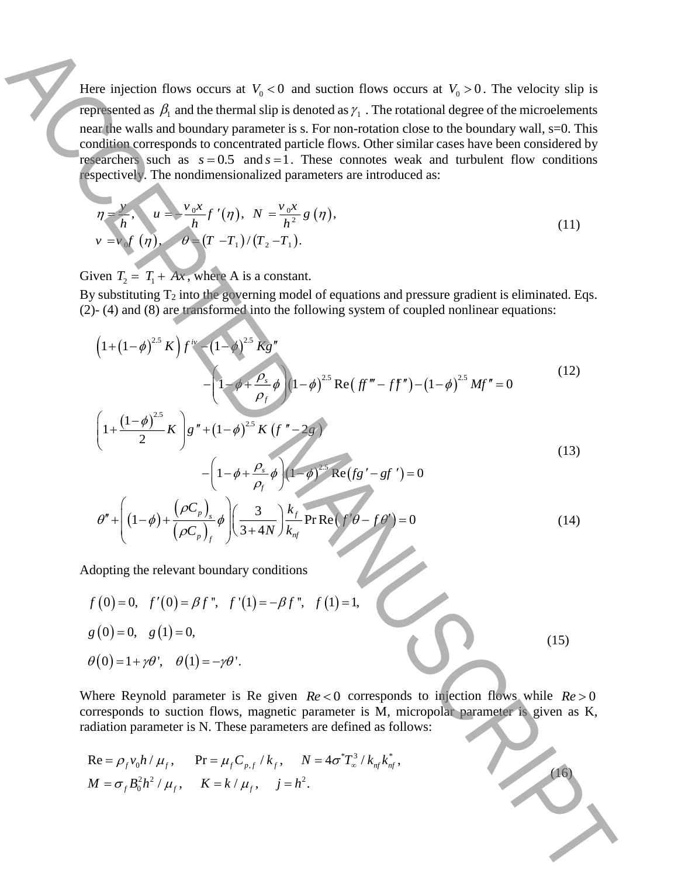Here injection flows occurs at  $V_0 < 0$  and suction flows occurs at  $V_0 > 0$ . The velocity slip is represented as  $\beta_1$  and the thermal slip is denoted as  $\gamma_1$ . The rotational degree of the microelements near the walls and boundary parameter is s. For non-rotation close to the boundary wall, s=0. This condition corresponds to concentrated particle flows. Other similar cases have been considered by researchers such as  $s = 0.5$  and  $s = 1$ . These connotes weak and turbulent flow conditions respectively. The nondimensionalized parameters are introduced as: Here injection flows occurs at  $V_i < 0$  and such on flows occurs at  $V_i > 0$ . The vericely stip is completed by the three particular interesting we have the forecast of the minimization and the solution of the substitut

$$
\eta = \frac{v}{h}, \quad u = \frac{v_0 x}{h} f'(\eta), \quad N = \frac{v_0 x}{h^2} g(\eta), \n v = v_0 f(\eta), \quad \theta = (T - T_1) / (T_2 - T_1).
$$
\n(11)

Given  $T_2 = T_1 + Ax$ , where A is a constant.

By substituting  $T_2$  into the governing model of equations and pressure gradient is eliminated. Eqs.

By substituting 1<sub>2</sub> into the governing model of equations and pressure gradient is eliminated. E  
\n(2) - (4) and (8) are transformed into the following system of coupled nonlinear equations:  
\n
$$
\left(1 + (1 - \phi)^{2.5} K\right) f^{iv} - (1 - \phi)^{2.5} K g''
$$
\n
$$
-\left(1 - \phi + \frac{\rho_s}{\rho_f} \phi\right) (1 - \phi)^{2.5} \text{Re}\left( f f''' - f f'' \right) - (1 - \phi)^{2.5} M f'' = 0
$$
\n(12)

$$
\left(1+\frac{(1-\phi)^{2.5}}{2}K\right)g''+(1-\phi)^{2.5}K\left(f''-2g\right)
$$
  
 
$$
-\left(1-\phi+\frac{\rho_s}{\rho_f}\phi\right)\left(1-\phi\right)^{2.5}\text{Re}(fg'-gf')=0
$$
 (13)

$$
\theta'' + \left( (1-\phi) + \frac{(\rho C_p)_s}{(\rho C_p)_f} \phi \right) \left( \frac{3}{3+4N} \right) \frac{k_f}{k_{nf}} \Pr \text{Re}(f'\theta - f\theta') = 0 \tag{14}
$$

Adopting the relevant boundary conditions

$$
f(0)=0, f'(0)=\beta f'', f'(1)=-\beta f'', f(1)=1,
$$
  
\n $g(0)=0, g(1)=0,$   
\n $\theta(0)=1+\gamma\theta', \theta(1)=-\gamma\theta'.$  (15)

Where Reynold parameter is Re given  $Re < 0$  corresponds to injection flows while  $Re > 0$ corresponds to suction flows, magnetic parameter is M, micropolar parameter is given as K, radiation parameter is N. These parameters are defined as follows:

Re = 
$$
\rho_f v_0 h / \mu_f
$$
, Pr =  $\mu_f C_{p,f} / k_f$ , N =  $4\sigma^* T_{\infty}^3 / k_{nf} k_{nf}^*$ ,  
\n $M = \sigma_f B_0^2 h^2 / \mu_f$ , K =  $k / \mu_f$ ,  $j = h^2$ .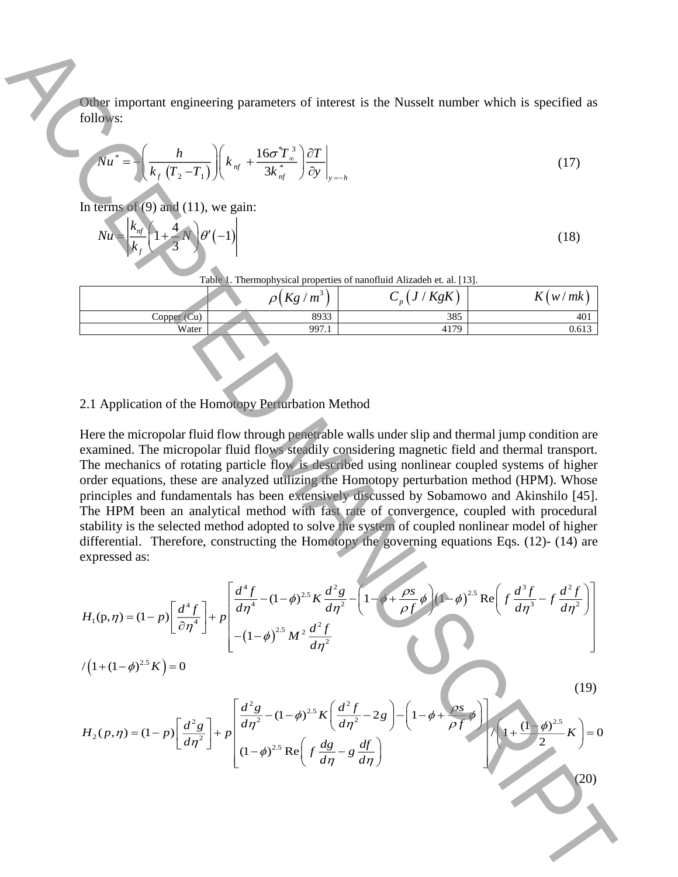Other important engineering parameters of interest is the Nusselt number which is specified as follows:

$$
Nu^* = \left(\frac{h}{k_f \left(T_2 - T_1\right)}\right) \left(k_{nf} + \frac{16\sigma^* T_{\infty}^3}{3k_{nf}^*}\right) \frac{\partial T}{\partial y}\Big|_{y=-h} \tag{17}
$$

In terms of  $(9)$  and  $(11)$ , we gain:

$$
Nu = \left| \frac{k_{nf}}{k_f} \left( 1 + \frac{4}{3}N \right) \theta' \left( -1 \right) \right| \tag{18}
$$

Table 1. Thermophysical properties of nanofluid Alizadeh et. al. [13].

|                                 | Kg<br>m <sup>3</sup><br>า เ | KgK<br>n | $\overline{r}$<br>mk<br>W/<br>$\mathbf{v}$ |
|---------------------------------|-----------------------------|----------|--------------------------------------------|
| $\mathbb{C}$ u)<br>$\cup$ opper | 8933                        | 385      | 401                                        |
| Water                           | 997.1                       | 4179     | 0.613                                      |
|                                 |                             |          |                                            |

## 2.1 Application of the Homotopy Perturbation Method

Here the micropolar fluid flow through penetrable walls under slip and thermal jump condition are examined. The micropolar fluid flows steadily considering magnetic field and thermal transport. The mechanics of rotating particle flow is described using nonlinear coupled systems of higher order equations, these are analyzed utilizing the Homotopy perturbation method (HPM). Whose principles and fundamentals has been extensively discussed by Sobamowo and Akinshilo [45]. The HPM been an analytical method with fast rate of convergence, coupled with procedural stability is the selected method adopted to solve the system of coupled nonlinear model of higher differential. Therefore, constructing the Homotopy the governing equations Eqs. (12)- (14) are expressed as: **(20)**<br>
(20) Accept to the strength of the strength of the strength of the Street Handberg which is specified as<br>
(20)  $\left[\frac{k}{k}, \frac{p}{k}, \frac{p}{k}\right]\right] \left[k_x + \frac{1.65T_x^{2/3} \sqrt{2T}}{3k_y^{2} + p^2}\right]_{k=1}^{n}$ <br>
ACCEPTED MANUSCRIPT (1)<br>

$$
H_1(\mathbf{p}, \eta) = (1 - p) \left[ \frac{d^4 f}{\partial \eta^4} \right] + p \left[ \frac{d^4 f}{d \eta^4} - (1 - \phi)^{2.5} K \frac{d^2 g}{d \eta^2} - \left( 1 - \phi + \frac{\rho s}{\rho f} \phi \right) \left( 1 - \phi \right)^{2.5} \text{Re} \left( f \frac{d^3 f}{d \eta^3} - f \frac{d^2 f}{d \eta^2} \right) \right]
$$
  

$$
/ \left( 1 + (1 - \phi)^{2.5} K \right) = 0
$$

$$
H_2(p,\eta) = (1-p)\left[\frac{d^2g}{d\eta^2}\right] + p\left[\frac{d^2g}{d\eta^2} - (1-\phi)^{2.5}K\left(\frac{d^2f}{d\eta^2} - 2g\right) - \left(1 - \phi + \frac{\rho s}{\rho f}\phi\right)\right] + \left(1 - \phi\right)^{2.5}K\right] = 0
$$

(19)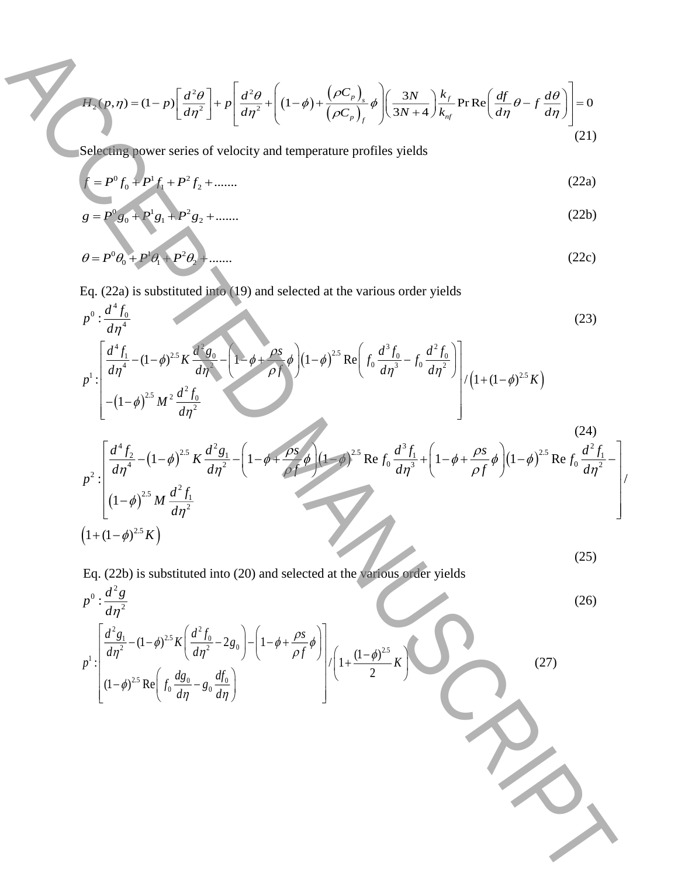$$
H_2(p,\eta) = (1-p)\left[\frac{d^2\theta}{d\eta^2}\right] + p\left[\frac{d^2\theta}{d\eta^2} + \left((1-\phi) + \frac{\left(\rho C_p\right)_s}{\left(\rho C_p\right)_f}\phi\right)\left(\frac{3N}{3N+4}\right)\frac{k_f}{k_{nf}}\Pr\operatorname{Re}\left(\frac{df}{d\eta}\theta - f\frac{d\theta}{d\eta}\right)\right] = 0\tag{21}
$$

Selecting power series of velocity and temperature profiles yields

$$
f = P^0 f_0 + P^1 f_1 + P^2 f_2 + \dots \dots \tag{22a}
$$

$$
g = P^0 g_0 + P^1 g_1 + P^2 g_2 + \dots \dots \tag{22b}
$$

$$
\theta = P^0 \theta_0 + P^1 \theta_1 + P^2 \theta_2 + \dots \tag{22c}
$$

Eq. (22a) is substituted into (19) and selected at the various order yields

$$
p^0: \frac{d^4 f_0}{d\eta^4} \tag{23}
$$

$$
p^{1} \cdot \left[ \frac{d^{4} f_{1}}{d\eta^{4}} - (1 - \phi)^{2.5} K \frac{d^{2} g_{0}}{d\eta^{2}} - \left( 1 - \phi + \frac{\rho s}{\rho f} \phi \right) \left( 1 - \phi \right)^{2.5} \text{Re} \left( f_{0} \frac{d^{3} f_{0}}{d\eta^{3}} - f_{0} \frac{d^{2} f_{0}}{d\eta^{2}} \right) \right] / \left( 1 + (1 - \phi)^{2.5} K \right)
$$
\n
$$
p^{2} \cdot \left[ \frac{d^{4} f_{2}}{d\eta^{4}} - (1 - \phi)^{2.5} K \frac{d^{2} g_{1}}{d\eta^{2}} - \left( 1 - \phi + \frac{\rho s}{\rho f} \phi \right) \left( 1 - \phi \right)^{2.5} \text{Re} f_{0} \frac{d^{3} f_{1}}{d\eta^{3}} + \left( 1 - \phi + \frac{\rho s}{\rho f} \phi \right) \left( 1 - \phi \right)^{2.5} \text{Re} f_{0} \frac{d^{2} f_{1}}{d\eta^{2}} - \left( 1 - \phi + \frac{\rho s}{\rho f} \phi \right) \left( 1 - \phi \right)^{2.5} \text{Re} f_{0} \frac{d^{2} f_{1}}{d\eta^{2}} - \left( 1 - \phi + \frac{\rho s}{\rho f} \phi \right) \left( 1 - \phi \right)^{2.5} \text{Re} f_{0} \frac{d^{2} f_{1}}{d\eta^{2}} - \left( 1 - \phi + \frac{\rho s}{\rho f} \phi \right)^{2.5} \text{Re} f_{0} \frac{d^{3} f_{1}}{d\eta^{3}} + \left( 1 - \phi + \frac{\rho s}{\rho f} \phi \right)^{2.5} \text{Re} f_{0} \frac{d^{2} f_{1}}{d\eta^{2}} \right)
$$
\n
$$
p^{2} \cdot \left[ \frac{d^{4} f_{2}}{d\eta^{4}} - (1 - \phi)^{2.5} M \frac{d^{2} f_{1}}{d\eta^{2}} \right]
$$
\n
$$
p^{2} \cdot \left[ \frac{d^{4} f_{2}}{d\eta^{4}} - (1 - \phi)^{2.5} M \frac{d
$$

$$
\left[ (1-\phi)^{2.5} M \frac{dJ_1}{d\eta^2} \right]
$$
  

$$
\left(1+(1-\phi)^{2.5} K\right)
$$
 (25)

Eq. (22b) is substituted into (20) and selected at the various order yields

$$
\int_{\mathbb{R}^2} \int_{\mathbb{R}^2} \int_{\mathbb{R}^2} \int_{\mathbb{R}^2} \int_{\mathbb{R}^2} \int_{\mathbb{R}^2} \int_{\mathbb{R}^2} \int_{\mathbb{R}^2} \int_{\mathbb{R}^2} \int_{\mathbb{R}^2} \int_{\mathbb{R}^2} \int_{\mathbb{R}^2} \int_{\mathbb{R}^2} \int_{\mathbb{R}^2} \int_{\mathbb{R}^2} \int_{\mathbb{R}^2} \int_{\mathbb{R}^2} \int_{\mathbb{R}^2} \int_{\mathbb{R}^2} \int_{\mathbb{R}^2} \int_{\mathbb{R}^2} \int_{\mathbb{R}^2} \int_{\mathbb{R}^2} \int_{\mathbb{R}^2} \int_{\mathbb{R}^2} \int_{\mathbb{R}^2} \int_{\mathbb{R}^2} \int_{\mathbb{R}^2} \int_{\mathbb{R}^2} \int_{\mathbb{R}^2} \int_{\mathbb{R}^2} \int_{\mathbb{R}^2} \int_{\mathbb{R}^2} \int_{\mathbb{R}^2} \int_{\mathbb{R}^2} \int_{\mathbb{R}^2} \int_{\mathbb{R}^2} \int_{\mathbb{R}^2} \int_{\mathbb{R}^2} \int_{\mathbb{R}^2} \int_{\mathbb{R}^2} \int_{\mathbb{R}^2} \int_{\mathbb{R}^2} \int_{\mathbb{R}^2} \int_{\mathbb{R}^2} \int_{\mathbb{R}^2} \int_{\mathbb{R}^2} \int_{\mathbb{R}^2} \int_{\mathbb{R}^2} \int_{\mathbb{R}^2} \int_{\mathbb{R}^2} \int_{\mathbb{R}^2} \int_{\mathbb{R}^2} \int_{\mathbb{R}^2} \int_{\mathbb{R}^2} \int_{\mathbb{R}^2} \int_{\mathbb{R}^2} \int_{\mathbb{R}^2} \int_{\mathbb{R}^2} \int_{\mathbb{R}^2} \int_{\mathbb{R}^2} \int_{\mathbb{R}^2} \int_{\mathbb{R}^2} \int_{\
$$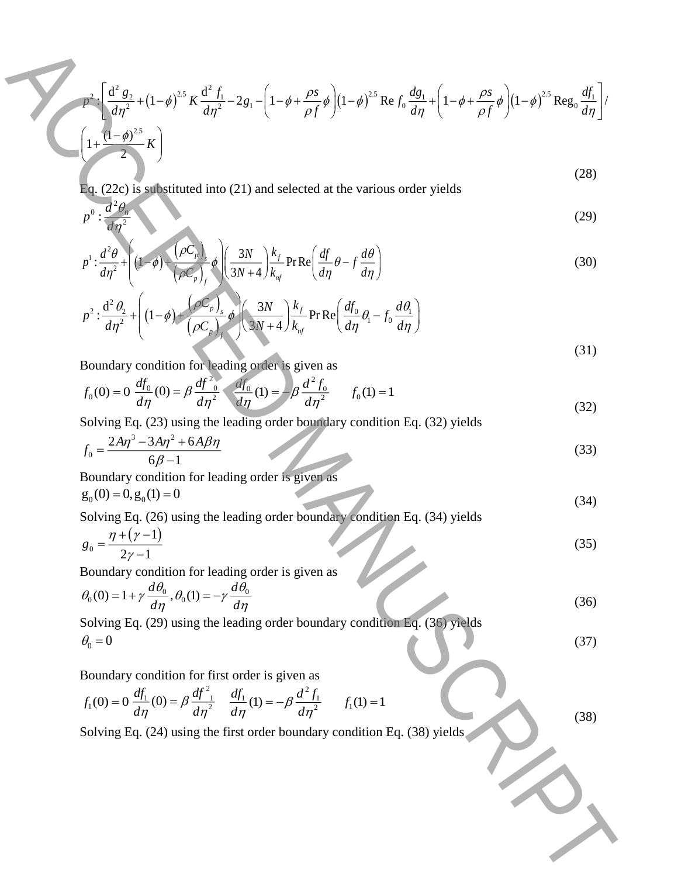$$
\int \frac{d^2 g_2}{d\eta^2} + (1-\theta)^{3.5} K \frac{d^2 f_1}{d\eta^2} - 2g_1 - \left(1-\theta + \frac{\rho s}{\rho f} \theta\right) (1-\theta)^{2.5} \text{Re } f_3 \frac{dg_1}{d\eta} + \left(1-\theta + \frac{\rho s}{\rho f} \theta\right) (1-\theta)^{3.5} \text{Re } g_3 \frac{df_1}{d\eta} \Big]
$$
\n
$$
= \int \frac{d^2 g_1}{d\eta^2} + \left(1-\theta\right) \frac{d^2 g_2}{(\rho c_1)} \left(1-\theta\right) \frac{3N}{(\rho c_1)}\right) \frac{k_f}{8N} - \text{Re } \left(\frac{df}{d\eta} \theta - f \frac{d\theta}{d\eta}\right)
$$
\n
$$
= \int \frac{d^2 g_1}{d\eta^2} + \left(1-\theta\right) \frac{d^2 g_1}{(\rho c_1)} \left(1-\theta\right) \frac{3N}{(\rho c_1)^2} + \int \frac{k_f}{8N} \text{Pr } \text{Re } \left(\frac{df_1}{d\eta} \theta - f_1 \frac{d\theta}{d\eta}\right)
$$
\n
$$
= \int \frac{d^2 g_1}{d\eta^2} + \left(1-\theta\right) \frac{d^2 f_3}{(\rho c_1)^2} \left(1-\theta\right) \frac{3N}{(d\eta)^2} + \int \frac{k_f}{8N} \text{Pr } \text{Re } \left(\frac{df_1}{d\eta} \theta - f_1 \frac{d\theta}{d\eta}\right)
$$
\n
$$
= \int f_0(0) = 0 \frac{df_1}{d\eta} = \int \frac{d^2 f_0}{d\eta} \frac{d^2 f_0}{d\eta} = f_0(1) = 1
$$
\nSolving Eq. (26) using the leading order boundary condition Eq. (32) yields\n
$$
f_0 = \frac{2A\eta^2 - 3A\eta^2 + 6A\beta\eta}{6\beta - 1}
$$
\nBoundary condition for leading order is given as\n
$$
g_0(0) = 0, g_0(0) = 0
$$
\nSolving Eq. (26) using the leading order boundary condition Eq. (34) yields\n
$$
g_0 = \frac{\eta +
$$

Eq. (22c) is substituted into (21) and selected at the various order yields

$$
0: \frac{d^2\theta_0}{d\eta^2} \tag{29}
$$

$$
p^{1}: \frac{d^{2}\theta}{d\eta^{2}} + \left( (1-\phi) + \frac{(\rho C_{p})_{s}}{(\rho C_{p})_{f}} \phi \right) \left( \frac{3N}{3N+4} \right) \frac{k_{f}}{k_{nf}} \operatorname{Pr} \operatorname{Re} \left( \frac{df}{d\eta} \theta - f \frac{d\theta}{d\eta} \right)
$$
(30)

$$
p^2: \frac{\mathrm{d}^2 \theta_2}{d\eta^2} + \left( (1-\phi) + \frac{\left(\rho C_p\right)_s}{\left(\rho C_p\right)_f} \phi \right) \left(\frac{3N}{3N+4}\right) \frac{k_f}{k_{nf}} \operatorname{Pr} \text{Re} \left(\frac{df_0}{d\eta} \theta_1 - f_0 \frac{d\theta_1}{d\eta}\right) \tag{31}
$$

Boundary condition for leading order is given as

2

*d*

: *d*

*p*

$$
f_0(0) = 0 \frac{df_0}{d\eta}(0) = \beta \frac{df_0^2}{d\eta^2} \frac{df_0}{d\eta}(1) = -\beta \frac{d^2 f_0}{d\eta^2} \qquad f_0(1) = 1
$$
\n(32)

Solving Eq. (23) using the leading order boundary condition Eq. (32) yields

$$
f_0 = \frac{2A\eta^3 - 3A\eta^2 + 6A\beta\eta}{\sqrt{33}}
$$

$$
J_0 = \frac{1}{6\beta - 1}
$$

Boundary condition for leading order is given as

$$
g_0(0) = 0, g_0(1) = 0 \tag{34}
$$

Solving Eq. (26) using the leading order boundary condition Eq. (34) yields  
\n
$$
\eta + (\gamma - 1)
$$

$$
g_0 = \frac{7 + \left(\frac{7}{2}\right)^2}{2\gamma - 1} \tag{35}
$$

Boundary condition for leading order is given as

$$
\theta_0(0) = 1 + \gamma \frac{d\theta_0}{d\eta}, \theta_0(1) = -\gamma \frac{d\theta_0}{d\eta}
$$
\n(36)

Solving Eq. (29) using the leading order boundary condition Eq. (36) yields  $\theta_0 = 0$  (37)

Boundary condition for first order is given as

$$
f_1(0) = 0 \frac{df_1}{d\eta}(0) = \beta \frac{df_1^2}{d\eta^2} \frac{df_1}{d\eta}(1) = -\beta \frac{d^2 f_1}{d\eta^2} \qquad f_1(1) = 1
$$

(38)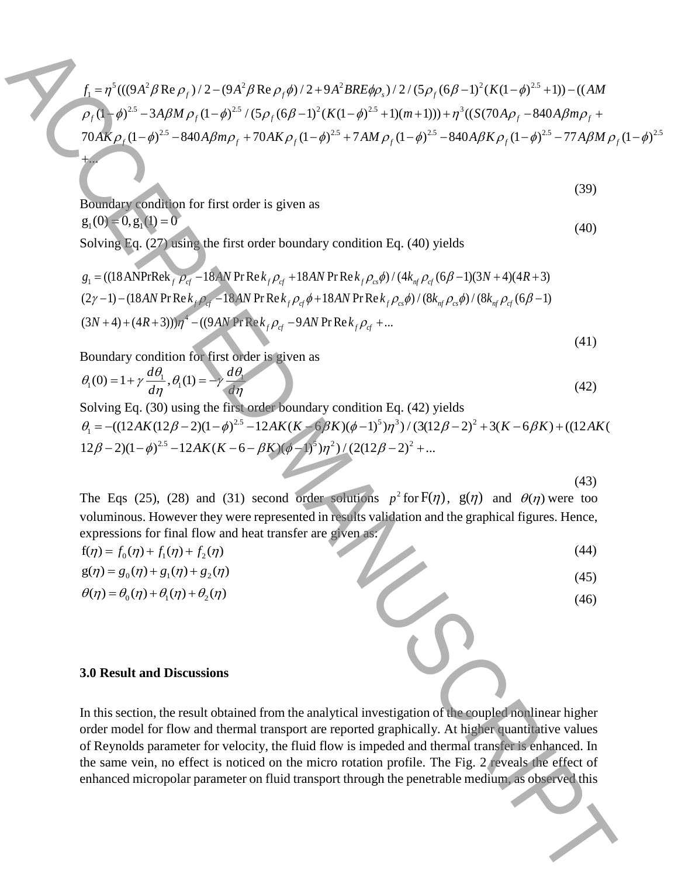$$
f_{1} = \eta^{2}((\theta A^{2}/\beta \text{Re }\rho_{1})/2 - (\theta A^{2}/\beta \text{Re }\rho_{1} \phi)/2 + 9A^{2}/\beta \text{Re}\phi_{2} \phi)/2/(\beta \rho_{1} (6\beta - 1)^{2} (K(1 - \phi)^{22} + 1)) - ((AM \rho_{1} (1 - \phi)^{22} - 3ABM \rho_{1} (1 - \phi)^{22} / (5\rho_{1} (6\beta - 1)^{2} (K(1 - \phi)^{22} + 1)) + \eta^{2} ((S(70A\rho_{1} - 840A\beta m\rho_{1} + 70AK \rho_{1} (1 - \phi)^{22} - 37AM \rho_{1} (1 - \phi)^{22} - 37AM \rho_{1} (1 - \phi)^{22} - 77ABM \rho_{1} (1 - \phi)^{22} + 7A M \rho_{1} (1 - \phi)^{22} - 77ABM \rho_{1} (1 - \phi)^{22} + 7A M \rho_{1} (1 - \phi)^{22} - 7A M \rho_{1} (1 - \phi)^{22} + 7A M \rho_{1} (1 - \phi)^{22} - 7A M \rho_{1} (1 - \phi)^{22} + 7A M \rho_{1} (1 - \phi)^{22} - 7A M \rho_{1} (1 - \phi)^{22} - 7A M \rho_{1} (1 - \phi)^{22} + 7A M \rho_{1} (1 - \phi)^{22} - 7A M \rho_{1} (1 - \phi)^{22} - 7A M \rho_{1} (1 - \phi)^{22} + 18A M \rho_{1} (1 + \phi)^{2} (1 + \phi)^{2} (1 + \phi)^{2} (1 + \phi)^{2} (1 + \phi)^{2} (1 + \phi)^{2} (1 + \phi)^{2} (1 + \phi)^{2} (1 + \phi)^{2} (1 + \phi)^{2} (1 + \phi)^{2} (1 + \phi)^{2} (1 + \phi)^{2} (1 + \phi)^{2} (1 + \phi)^{2} (1 + \phi)^{2} (1 + \phi)^{2} (1 + \phi)^{2} (1 + \phi)^{2} (1 + \phi)^{2} (1 + \phi)^{2} (1 + \phi)^{2} (1 + \phi)^{2} (1 +
$$

Boundary condition for first order is given as  $g_1 (0) = 0, g_1 (1) = 0$ (40)

...

Solving Eq. (27) using the first order boundary condition Eq. (40) yields

$$
g_1 = ((18 \text{ANPr}\text{Re}k_f \rho_{cf} - 18 \text{AN Pr}\text{Re}k_f \rho_{cf} + 18 \text{AN Pr}\text{Re}k_f \rho_{cs}\phi) / (4k_{nf} \rho_{cf} (6\beta - 1)(3N + 4)(4R + 3)
$$
  
\n
$$
(2\gamma - 1) - (18 \text{AN Pr}\text{Re}k_f \rho_{cf} - 18 \text{AN Pr}\text{Re}k_f \rho_{cf}\phi + 18 \text{AN Pr}\text{Re}k_f \rho_{cs}\phi) / (8k_{nf} \rho_{cs}\phi) / (8k_{nf} \rho_{cf} (6\beta - 1)
$$
  
\n
$$
(3N + 4) + (4R + 3))\eta^4 - ((9 \text{AN Pr}\text{Re}k_f \rho_{cf} - 9 \text{AN Pr}\text{Re}k_f \rho_{cf} + ...)
$$
\n(41)

 $(39)$ 

Boundary condition for first order is given as

$$
\theta_1(0) = 1 + \gamma \frac{d\theta_1}{d\eta}, \theta_1(1) = -\gamma \frac{d\theta_1}{d\eta}
$$
\n(42)

Solving Eq. (30) using the first order boundary condition Eq. (42) yields  
\n
$$
\theta_1 = -((12AK(12\beta - 2)(1 - \phi)^{2.5} - 12AK(K - 6\beta K)(\phi - 1)^5)\eta^3)/(3(12\beta - 2)^2 + 3(K - 6\beta K) + ((12AK(K - 6 - \beta K)(\phi - 1)^5)\eta^3)/(3(12\beta - 2)^2 + ...
$$
\n
$$
12\beta - 2)(1 - \phi)^{2.5} - 12AK(K - 6 - \beta K)(\phi - 1)^5)\eta^2)/(2(12\beta - 2)^2 + ...
$$

(43)

The Eqs (25), (28) and (31) second order solutions  $p^2$  for  $F(\eta)$ ,  $g(\eta)$  and  $\theta(\eta)$  were too voluminous. However they were represented in results validation and the graphical figures. Hence, expressions for final flow and heat transfer are given as:

$$
f(\eta) = f_0(\eta) + f_1(\eta) + f_2(\eta)
$$
\n(44)

$$
g(\eta) = g_0(\eta) + g_1(\eta) + g_2(\eta)
$$
  
\n
$$
\theta(\eta) = \theta_0(\eta) + \theta_1(\eta) + \theta_2(\eta)
$$
\n(46)

### **3.0 Result and Discussions**

In this section, the result obtained from the analytical investigation of the coupled nonlinear higher order model for flow and thermal transport are reported graphically. At higher quantitative values of Reynolds parameter for velocity, the fluid flow is impeded and thermal transfer is enhanced. In the same vein, no effect is noticed on the micro rotation profile. The Fig. 2 reveals the effect of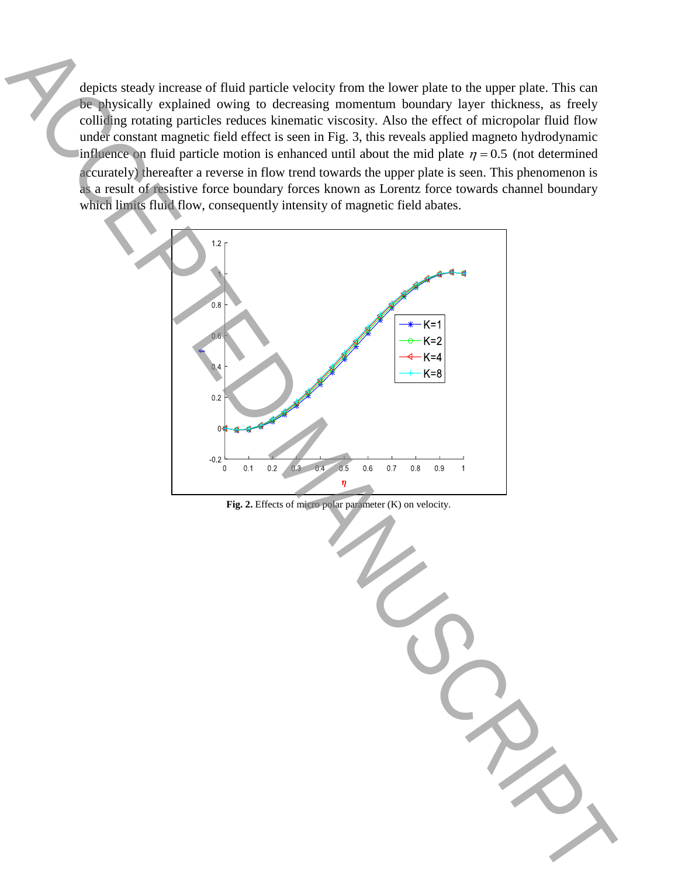depicts steady increase of fluid particle velocity from the lower plate to the upper plate. This can be physically explained owing to decreasing momentum boundary layer thickness, as freely colliding rotating particles reduces kinematic viscosity. Also the effect of micropolar fluid flow under constant magnetic field effect is seen in Fig. 3, this reveals applied magneto hydrodynamic influence on fluid particle motion is enhanced until about the mid plate  $\eta = 0.5$  (not determined accurately) thereafter a reverse in flow trend towards the upper plate is seen. This phenomenon is as a result of resistive force boundary forces known as Lorentz force towards channel boundary which limits fluid flow, consequently intensity of magnetic field abates.

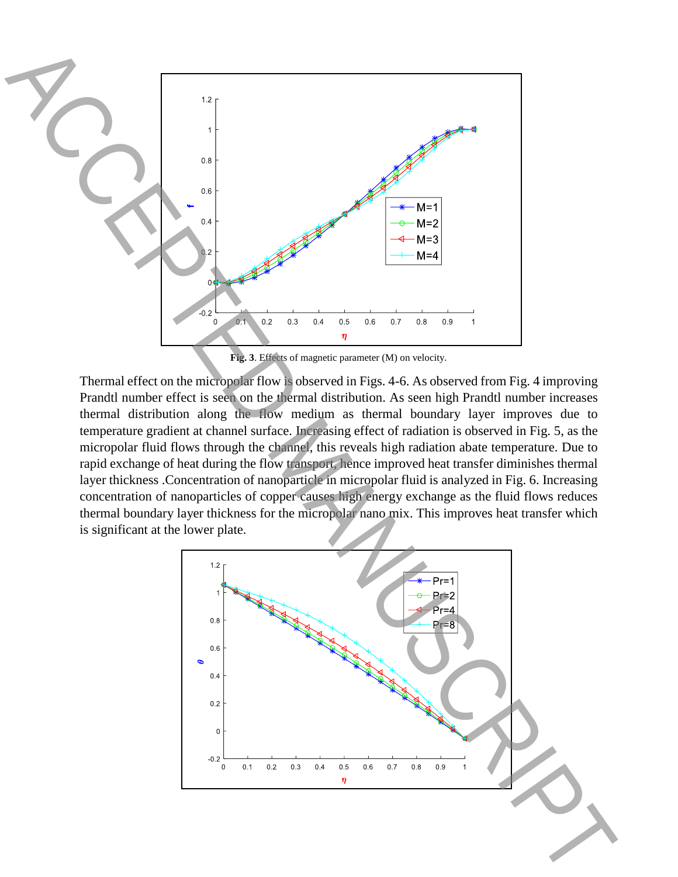

**Fig. 3**. Effects of magnetic parameter (M) on velocity.

Thermal effect on the micropolar flow is observed in Figs. 4-6. As observed from Fig. 4 improving Prandtl number effect is seen on the thermal distribution. As seen high Prandtl number increases thermal distribution along the flow medium as thermal boundary layer improves due to temperature gradient at channel surface. Increasing effect of radiation is observed in Fig. 5, as the micropolar fluid flows through the channel, this reveals high radiation abate temperature. Due to rapid exchange of heat during the flow transport, hence improved heat transfer diminishes thermal layer thickness .Concentration of nanoparticle in micropolar fluid is analyzed in Fig. 6. Increasing concentration of nanoparticles of copper causes high energy exchange as the fluid flows reduces thermal boundary layer thickness for the micropolar nano mix. This improves heat transfer which

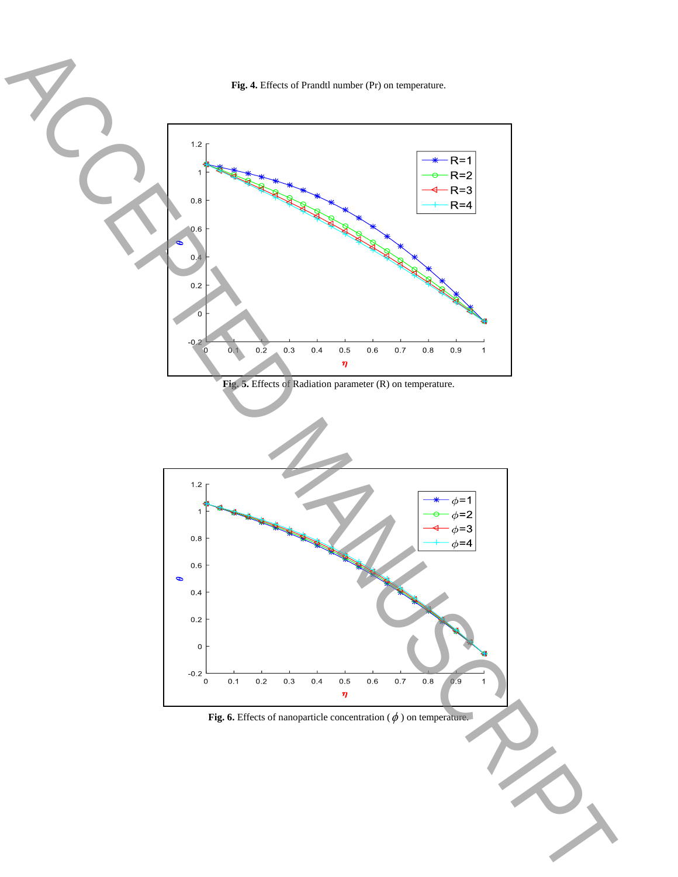**Fig. 4.** Effects of Prandtl number (Pr) on temperature.

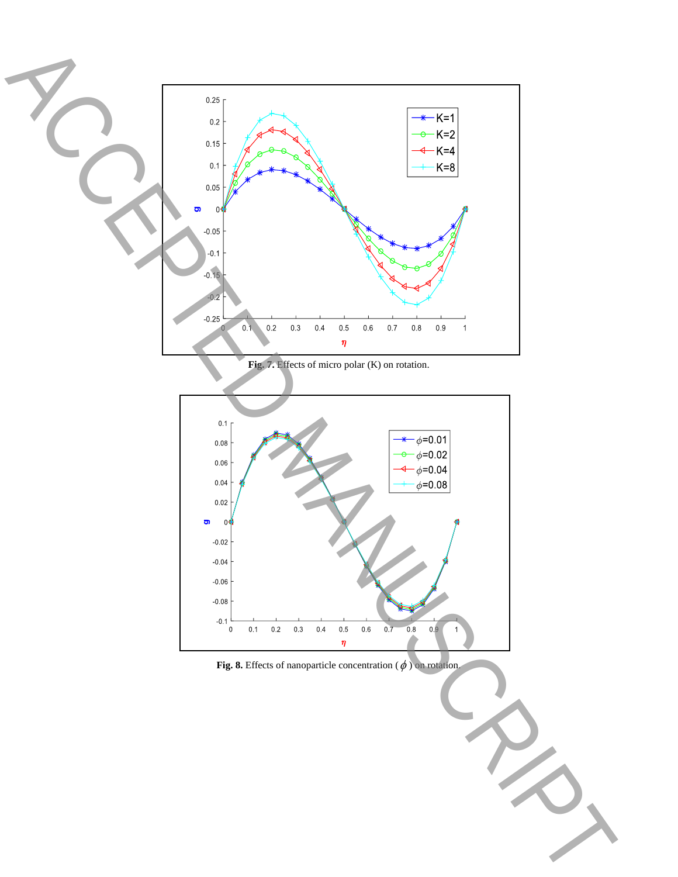

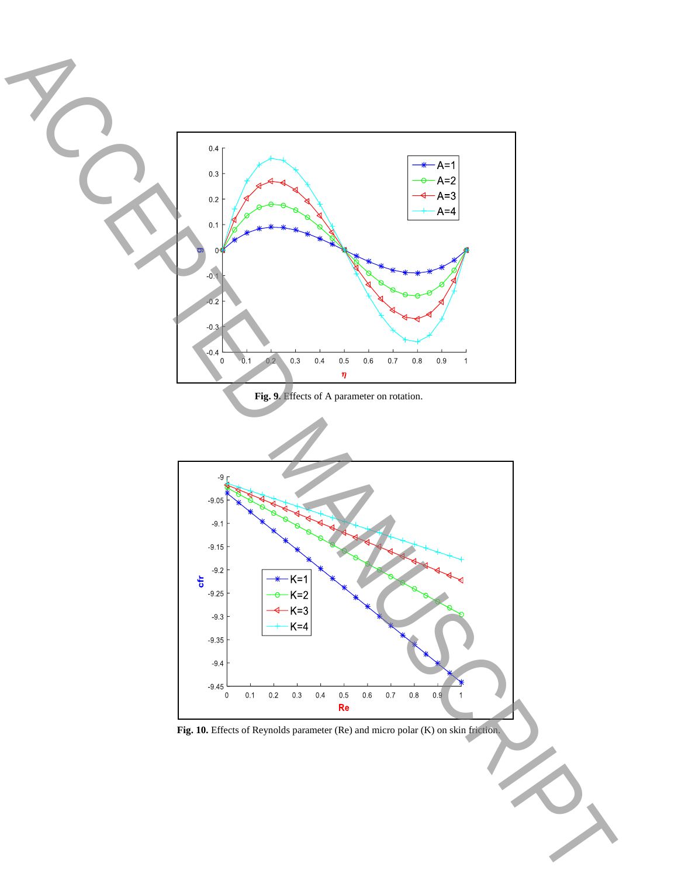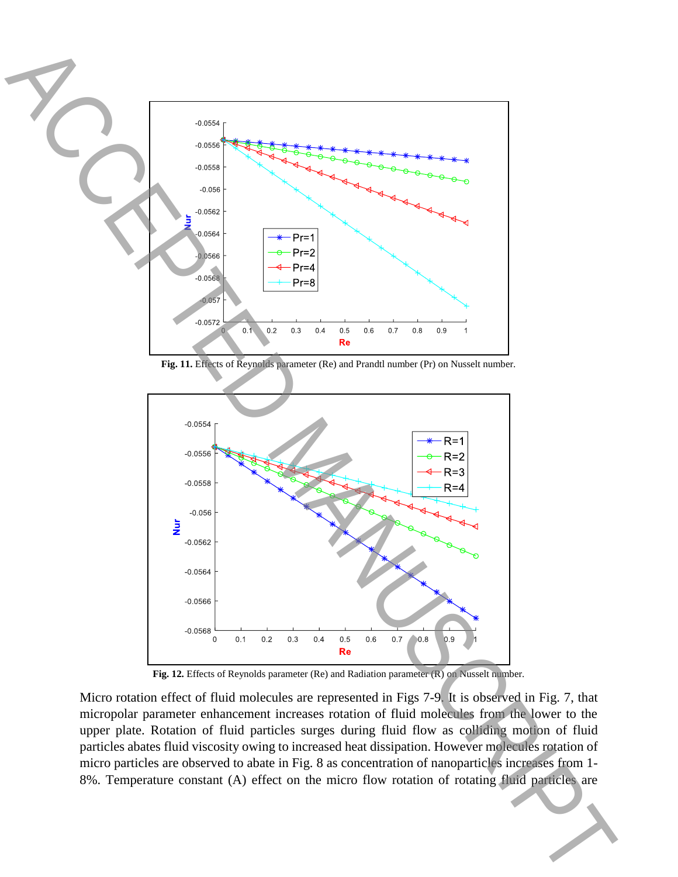

**Fig. 11.** Effects of Reynolds parameter (Re) and Prandtl number (Pr) on Nusselt number.



**Fig. 12.** Effects of Reynolds parameter (Re) and Radiation parameter (R) on Nusselt number.

Micro rotation effect of fluid molecules are represented in Figs 7-9. It is observed in Fig. 7, that micropolar parameter enhancement increases rotation of fluid molecules from the lower to the upper plate. Rotation of fluid particles surges during fluid flow as colliding motion of fluid particles abates fluid viscosity owing to increased heat dissipation. However molecules rotation of micro particles are observed to abate in Fig. 8 as concentration of nanoparticles increases from 1-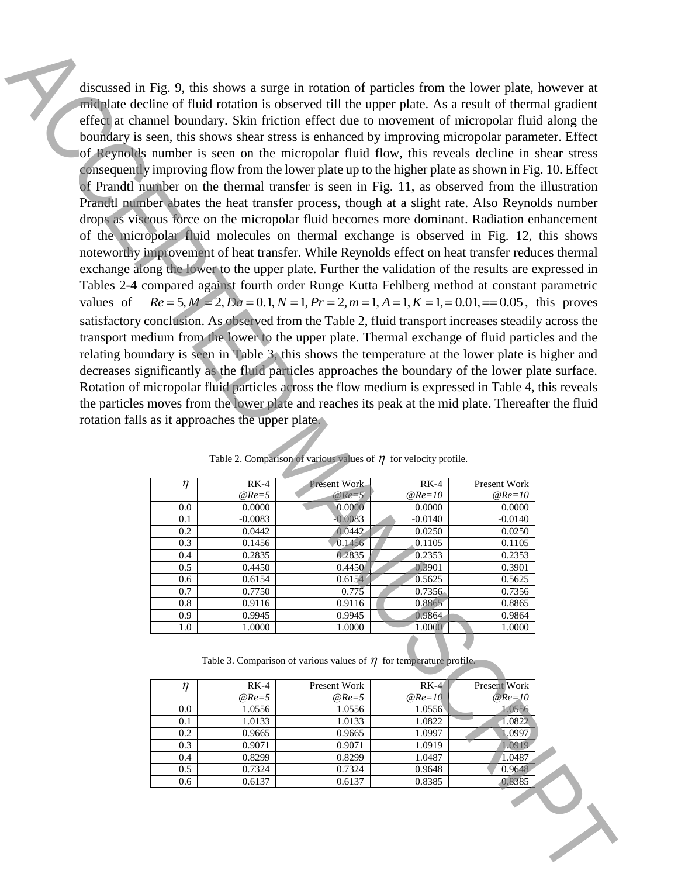discussed in Fig. 9, this shows a surge in rotation of particles from the lower plate, however at midplate decline of fluid rotation is observed till the upper plate. As a result of thermal gradient effect at channel boundary. Skin friction effect due to movement of micropolar fluid along the boundary is seen, this shows shear stress is enhanced by improving micropolar parameter. Effect of Reynolds number is seen on the micropolar fluid flow, this reveals decline in shear stress consequently improving flow from the lower plate up to the higher plate as shown in Fig. 10. Effect of Prandtl number on the thermal transfer is seen in Fig. 11, as observed from the illustration Prandtl number abates the heat transfer process, though at a slight rate. Also Reynolds number drops as viscous force on the micropolar fluid becomes more dominant. Radiation enhancement of the micropolar fluid molecules on thermal exchange is observed in Fig. 12, this shows noteworthy improvement of heat transfer. While Reynolds effect on heat transfer reduces thermal exchange along the lower to the upper plate. Further the validation of the results are expressed in Tables 2-4 compared against fourth order Runge Kutta Fehlberg method at constant parametric values of  $Re = 5, M = 2, Da = 0.1, N = 1, Pr = 2, m = 1, A = 1, K = 1, = 0.01, \implies 0.05$ , this proves satisfactory conclusion. As observed from the Table 2, fluid transport increases steadily across the transport medium from the lower to the upper plate. Thermal exchange of fluid particles and the relating boundary is seen in Table 3, this shows the temperature at the lower plate is higher and decreases significantly as the fluid particles approaches the boundary of the lower plate surface. Rotation of micropolar fluid particles across the flow medium is expressed in Table 4, this reveals the particles moves from the lower plate and reaches its peak at the mid plate. Thereafter the fluid rotation falls as it approaches the upper plate. discussed in Fig. 9. this shows a surge in octubre of particles from the lower plats. Lowever at **online a** channel control in the sure momentum interaction of the stress of the stress of the stress of the stress of the s

| $\eta$ | $RK-4$    | <b>Present Work-</b> | $RK-4$    | Present Work |
|--------|-----------|----------------------|-----------|--------------|
|        | $@Re=5$   | $@Re=5$              | $@Re=10$  | $@Re=10$     |
| 0.0    | 0.0000    | 0.0000               | 0.0000    | 0.0000       |
| 0.1    | $-0.0083$ | $-0.0083$            | $-0.0140$ | $-0.0140$    |
| 0.2    | 0.0442    | 0.0442               | 0.0250    | 0.0250       |
| 0.3    | 0.1456    | 0.1456               | 0.1105    | 0.1105       |
| 0.4    | 0.2835    | 0.2835               | 0.2353    | 0.2353       |
| 0.5    | 0.4450    | 0.4450               | 0.3901    | 0.3901       |
| 0.6    | 0.6154    | 0.6154               | 0.5625    | 0.5625       |
| 0.7    | 0.7750    | 0.775                | 0.7356    | 0.7356       |
| 0.8    | 0.9116    | 0.9116               | 0.8865    | 0.8865       |
| 0.9    | 0.9945    | 0.9945               | 0.9864    | 0.9864       |
| 1.0    | 1.0000    | 1.0000               | 1.0000    | 1.0000       |

Table 2. Comparison of various values of  $\eta$  for velocity profile.

Table 3. Comparison of various values of  $\eta$  for temperature profile.

|     | $RK-4$  | Present Work | $RK-4$   | Present Work |
|-----|---------|--------------|----------|--------------|
|     | $@Re=5$ | $@Re=5$      | $@Re=10$ | $@Re=10$     |
| 0.0 | 1.0556  | 1.0556       | 1.0556   | 1.0556       |
| 0.1 | 1.0133  | 1.0133       | 1.0822   | 1.0822       |
| 0.2 | 0.9665  | 0.9665       | 1.0997   | 1.0997       |
| 0.3 | 0.9071  | 0.9071       | 1.0919   | 1.0919       |
| 0.4 | 0.8299  | 0.8299       | 1.0487   | 1.0487       |
| 0.5 | 0.7324  | 0.7324       | 0.9648   | 0.9648       |
| 0.6 | 0.6137  | 0.6137       | 0.8385   | 0.8385       |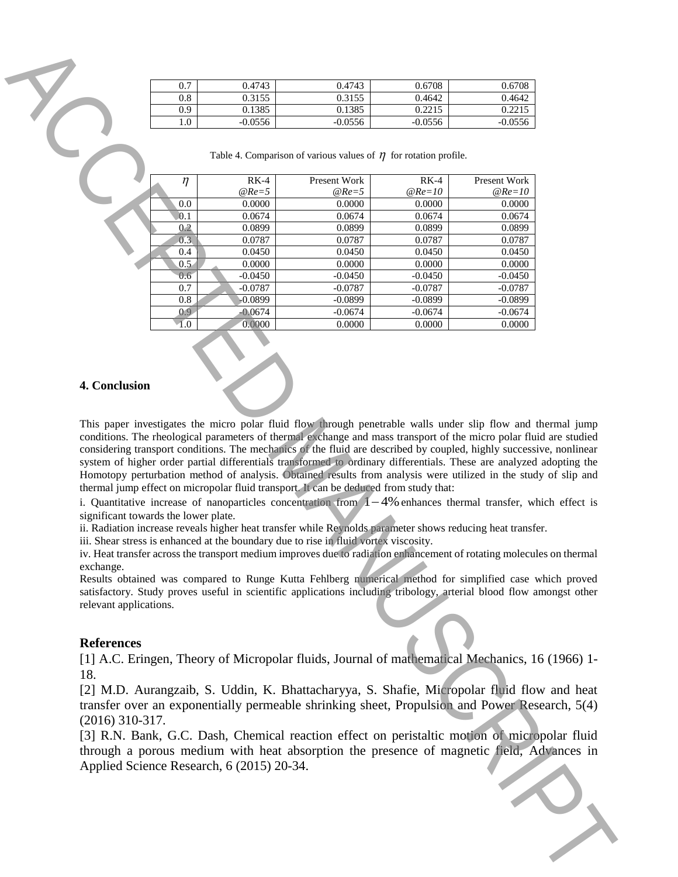| 0.7 | 0.4743    | 0.4743    | 0.6708    | 0.6708    |
|-----|-----------|-----------|-----------|-----------|
| 0.8 | 0.3155    | 0.3155    | 0.4642    | 0.4642    |
| 0.9 | 0.1385    | 0.1385    | 0.2215    | 0.2215    |
| 1.0 | $-0.0556$ | $-0.0556$ | $-0.0556$ | $-0.0556$ |

|                                             | 0.7                                  | 0.4743                                    | 0.4743                                                                                                                                                                                                                                                                                                                                                                                                                                                                                                                                                                                                                                                                                                                                                                                                                                                                                                                                                                                                                                                                                                                                  | 0.6708                 | 0.6708                 |  |
|---------------------------------------------|--------------------------------------|-------------------------------------------|-----------------------------------------------------------------------------------------------------------------------------------------------------------------------------------------------------------------------------------------------------------------------------------------------------------------------------------------------------------------------------------------------------------------------------------------------------------------------------------------------------------------------------------------------------------------------------------------------------------------------------------------------------------------------------------------------------------------------------------------------------------------------------------------------------------------------------------------------------------------------------------------------------------------------------------------------------------------------------------------------------------------------------------------------------------------------------------------------------------------------------------------|------------------------|------------------------|--|
|                                             | 0.8                                  | 0.3155                                    | 0.3155                                                                                                                                                                                                                                                                                                                                                                                                                                                                                                                                                                                                                                                                                                                                                                                                                                                                                                                                                                                                                                                                                                                                  | 0.4642                 | 0.4642                 |  |
|                                             | 0.9                                  | 0.1385                                    | 0.1385                                                                                                                                                                                                                                                                                                                                                                                                                                                                                                                                                                                                                                                                                                                                                                                                                                                                                                                                                                                                                                                                                                                                  | 0.2215                 | 0.2215                 |  |
|                                             | 1.0                                  | $-0.0556$                                 | $-0.0556$                                                                                                                                                                                                                                                                                                                                                                                                                                                                                                                                                                                                                                                                                                                                                                                                                                                                                                                                                                                                                                                                                                                               | $-0.0556$              | $-0.0556$              |  |
|                                             |                                      |                                           | Table 4. Comparison of various values of $\eta$ for rotation profile.                                                                                                                                                                                                                                                                                                                                                                                                                                                                                                                                                                                                                                                                                                                                                                                                                                                                                                                                                                                                                                                                   |                        |                        |  |
|                                             | $\eta$                               | $RK-4$                                    | <b>Present Work</b>                                                                                                                                                                                                                                                                                                                                                                                                                                                                                                                                                                                                                                                                                                                                                                                                                                                                                                                                                                                                                                                                                                                     | $RK-4$                 | <b>Present Work</b>    |  |
|                                             |                                      | $@Re=5$                                   | $@Re=5$                                                                                                                                                                                                                                                                                                                                                                                                                                                                                                                                                                                                                                                                                                                                                                                                                                                                                                                                                                                                                                                                                                                                 | $@Re=10$               | $@Re=10$               |  |
|                                             | 0.0                                  | 0.0000                                    | 0.0000                                                                                                                                                                                                                                                                                                                                                                                                                                                                                                                                                                                                                                                                                                                                                                                                                                                                                                                                                                                                                                                                                                                                  | 0.0000                 | 0.0000                 |  |
|                                             | 0.1                                  | 0.0674                                    | 0.0674                                                                                                                                                                                                                                                                                                                                                                                                                                                                                                                                                                                                                                                                                                                                                                                                                                                                                                                                                                                                                                                                                                                                  | 0.0674                 | 0.0674                 |  |
|                                             | 0.2                                  | 0.0899                                    | 0.0899                                                                                                                                                                                                                                                                                                                                                                                                                                                                                                                                                                                                                                                                                                                                                                                                                                                                                                                                                                                                                                                                                                                                  | 0.0899                 | 0.0899                 |  |
|                                             | 0.3                                  | 0.0787                                    | 0.0787                                                                                                                                                                                                                                                                                                                                                                                                                                                                                                                                                                                                                                                                                                                                                                                                                                                                                                                                                                                                                                                                                                                                  | 0.0787                 | 0.0787                 |  |
|                                             | 0.4                                  | 0.0450                                    | 0.0450                                                                                                                                                                                                                                                                                                                                                                                                                                                                                                                                                                                                                                                                                                                                                                                                                                                                                                                                                                                                                                                                                                                                  | 0.0450                 | 0.0450                 |  |
|                                             | 0.5                                  | 0.0000                                    | 0.0000                                                                                                                                                                                                                                                                                                                                                                                                                                                                                                                                                                                                                                                                                                                                                                                                                                                                                                                                                                                                                                                                                                                                  | 0.0000                 | 0.0000                 |  |
|                                             | 0.6                                  | $-0.0450$                                 | $-0.0450$                                                                                                                                                                                                                                                                                                                                                                                                                                                                                                                                                                                                                                                                                                                                                                                                                                                                                                                                                                                                                                                                                                                               | $-0.0450$              | $-0.0450$              |  |
|                                             | 0.7<br>0.8                           | $-0.0787$<br>$-0.0899$                    | $-0.0787$<br>$-0.0899$                                                                                                                                                                                                                                                                                                                                                                                                                                                                                                                                                                                                                                                                                                                                                                                                                                                                                                                                                                                                                                                                                                                  | $-0.0787$<br>$-0.0899$ | $-0.0787$<br>$-0.0899$ |  |
|                                             | 0.9                                  | $-0.0674$                                 | $-0.0674$                                                                                                                                                                                                                                                                                                                                                                                                                                                                                                                                                                                                                                                                                                                                                                                                                                                                                                                                                                                                                                                                                                                               | $-0.0674$              | $-0.0674$              |  |
|                                             | $\overline{1.0}$                     | 0.0000                                    | 0.0000                                                                                                                                                                                                                                                                                                                                                                                                                                                                                                                                                                                                                                                                                                                                                                                                                                                                                                                                                                                                                                                                                                                                  | 0.0000                 | 0.0000                 |  |
|                                             |                                      |                                           |                                                                                                                                                                                                                                                                                                                                                                                                                                                                                                                                                                                                                                                                                                                                                                                                                                                                                                                                                                                                                                                                                                                                         |                        |                        |  |
| 4. Conclusion                               |                                      |                                           | This paper investigates the micro polar fluid flow through penetrable walls under slip flow and thermal jump                                                                                                                                                                                                                                                                                                                                                                                                                                                                                                                                                                                                                                                                                                                                                                                                                                                                                                                                                                                                                            |                        |                        |  |
| exchange.                                   | significant towards the lower plate. |                                           | conditions. The rheological parameters of thermal exchange and mass transport of the micro polar fluid are studied<br>considering transport conditions. The mechanics of the fluid are described by coupled, highly successive, nonlinear<br>system of higher order partial differentials transformed to ordinary differentials. These are analyzed adopting the<br>Homotopy perturbation method of analysis. Obtained results from analysis were utilized in the study of slip and<br>thermal jump effect on micropolar fluid transport. It can be deduced from study that:<br>i. Quantitative increase of nanoparticles concentration from $1-4%$ enhances thermal transfer, which effect is<br>ii. Radiation increase reveals higher heat transfer while Reynolds parameter shows reducing heat transfer.<br>iii. Shear stress is enhanced at the boundary due to rise in fluid vortex viscosity.<br>iv. Heat transfer across the transport medium improves due to radiation enhancement of rotating molecules on thermal<br>Results obtained was compared to Runge Kutta Fehlberg numerical method for simplified case which proved |                        |                        |  |
| relevant applications.<br><b>References</b> |                                      |                                           | satisfactory. Study proves useful in scientific applications including tribology, arterial blood flow amongst other                                                                                                                                                                                                                                                                                                                                                                                                                                                                                                                                                                                                                                                                                                                                                                                                                                                                                                                                                                                                                     |                        |                        |  |
| 18.                                         |                                      |                                           | [1] A.C. Eringen, Theory of Micropolar fluids, Journal of mathematical Mechanics, 16 (1966) 1-                                                                                                                                                                                                                                                                                                                                                                                                                                                                                                                                                                                                                                                                                                                                                                                                                                                                                                                                                                                                                                          |                        |                        |  |
| $(2016)$ 310-317.                           |                                      |                                           | [2] M.D. Aurangzaib, S. Uddin, K. Bhattacharyya, S. Shafie, Micropolar fluid flow and heat<br>transfer over an exponentially permeable shrinking sheet, Propulsion and Power Research, 5(4)                                                                                                                                                                                                                                                                                                                                                                                                                                                                                                                                                                                                                                                                                                                                                                                                                                                                                                                                             |                        |                        |  |
|                                             |                                      | Applied Science Research, 6 (2015) 20-34. | [3] R.N. Bank, G.C. Dash, Chemical reaction effect on peristaltic motion of micropolar fluid<br>through a porous medium with heat absorption the presence of magnetic field, Advances in                                                                                                                                                                                                                                                                                                                                                                                                                                                                                                                                                                                                                                                                                                                                                                                                                                                                                                                                                |                        |                        |  |
|                                             |                                      |                                           |                                                                                                                                                                                                                                                                                                                                                                                                                                                                                                                                                                                                                                                                                                                                                                                                                                                                                                                                                                                                                                                                                                                                         |                        |                        |  |

#### **4. Conclusion**

#### **References**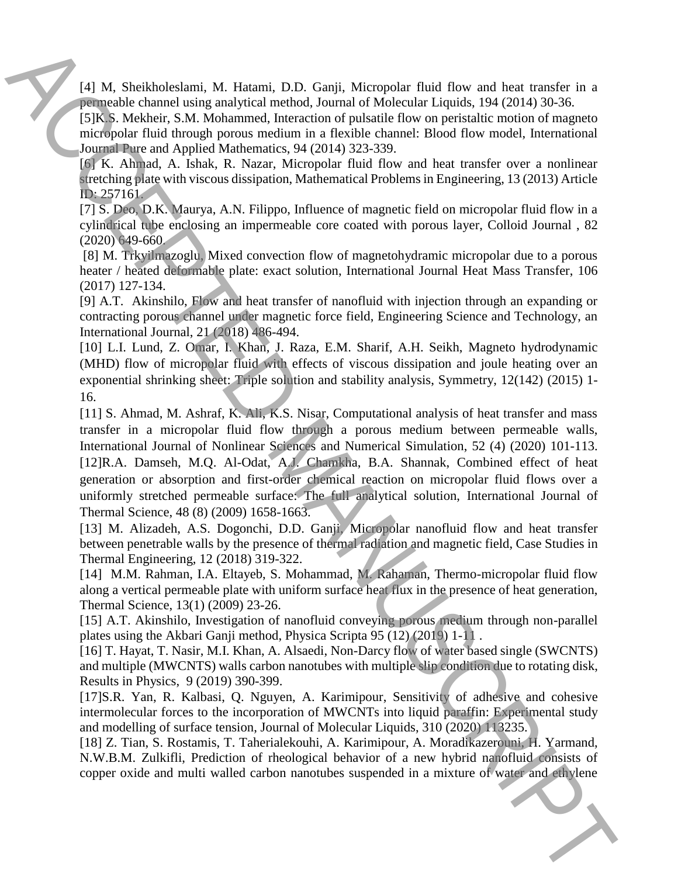[4] M, Sheikholeslami, M. Hatami, D.D. Ganji, Micropolar fluid flow and heat transfer in a permeable channel using analytical method, Journal of Molecular Liquids, 194 (2014) 30-36.

[5]K.S. Mekheir, S.M. Mohammed, Interaction of pulsatile flow on peristaltic motion of magneto micropolar fluid through porous medium in a flexible channel: Blood flow model, International Journal Pure and Applied Mathematics, 94 (2014) 323-339.

[6] K. Ahmad, A. Ishak, R. Nazar, Micropolar fluid flow and heat transfer over a nonlinear stretching plate with viscous dissipation, Mathematical Problems in Engineering, 13 (2013) Article ID: 257161.

[7] S. Deo, D.K. Maurya, A.N. Filippo, Influence of magnetic field on micropolar fluid flow in a cylindrical tube enclosing an impermeable core coated with porous layer, Colloid Journal , 82 (2020) 649-660.

[8] M. Trkyilmazoglu, Mixed convection flow of magnetohydramic micropolar due to a porous heater / heated deformable plate: exact solution, International Journal Heat Mass Transfer, 106 (2017) 127-134.

[9] A.T. Akinshilo, Flow and heat transfer of nanofluid with injection through an expanding or contracting porous channel under magnetic force field, Engineering Science and Technology, an International Journal, 21 (2018) 486-494.

[10] L.I. Lund, Z. Omar, I. Khan, J. Raza, E.M. Sharif, A.H. Seikh, Magneto hydrodynamic (MHD) flow of micropolar fluid with effects of viscous dissipation and joule heating over an exponential shrinking sheet: Triple solution and stability analysis, Symmetry, 12(142) (2015) 1- 16.

[11] S. Ahmad, M. Ashraf, K. Ali, K.S. Nisar, Computational analysis of heat transfer and mass transfer in a micropolar fluid flow through a porous medium between permeable walls, International Journal of Nonlinear Sciences and Numerical Simulation, 52 (4) (2020) 101-113. [12]R.A. Damseh, M.Q. Al-Odat, A.J. Chamkha, B.A. Shannak, Combined effect of heat generation or absorption and first-order chemical reaction on micropolar fluid flows over a uniformly stretched permeable surface: The full analytical solution, International Journal of Thermal Science, 48 (8) (2009) 1658-1663. F(1) M, Sheinthelman, M. Hemann, D.D. Gonji, Micropolar that floor and her terms of the statistic carbon nanotubes in a metallic meaning the carbon nanotube suspended in a mixture of the statistic carbon nanotubes suspend

[13] M. Alizadeh, A.S. Dogonchi, D.D. Ganji, Micropolar nanofluid flow and heat transfer between penetrable walls by the presence of thermal radiation and magnetic field, Case Studies in Thermal Engineering, 12 (2018) 319-322.

[14] M.M. Rahman, I.A. Eltayeb, S. Mohammad, M. Rahaman, Thermo-micropolar fluid flow along a vertical permeable plate with uniform surface heat flux in the presence of heat generation, Thermal Science, 13(1) (2009) 23-26.

[15] A.T. Akinshilo, Investigation of nanofluid conveying porous medium through non-parallel plates using the Akbari Ganji method, Physica Scripta 95 (12) (2019) 1-11 .

[16] T. Hayat, T. Nasir, M.I. Khan, A. Alsaedi, Non-Darcy flow of water based single (SWCNTS) and multiple (MWCNTS) walls carbon nanotubes with multiple slip condition due to rotating disk, Results in Physics, 9 (2019) 390-399.

[17]S.R. Yan, R. Kalbasi, Q. Nguyen, A. Karimipour, Sensitivity of adhesive and cohesive intermolecular forces to the incorporation of MWCNTs into liquid paraffin: Experimental study and modelling of surface tension, Journal of Molecular Liquids, 310 (2020) 113235.

[18] Z. Tian, S. Rostamis, T. Taherialekouhi, A. Karimipour, A. Moradikazerouni, H. Yarmand, N.W.B.M. Zulkifli, Prediction of rheological behavior of a new hybrid nanofluid consists of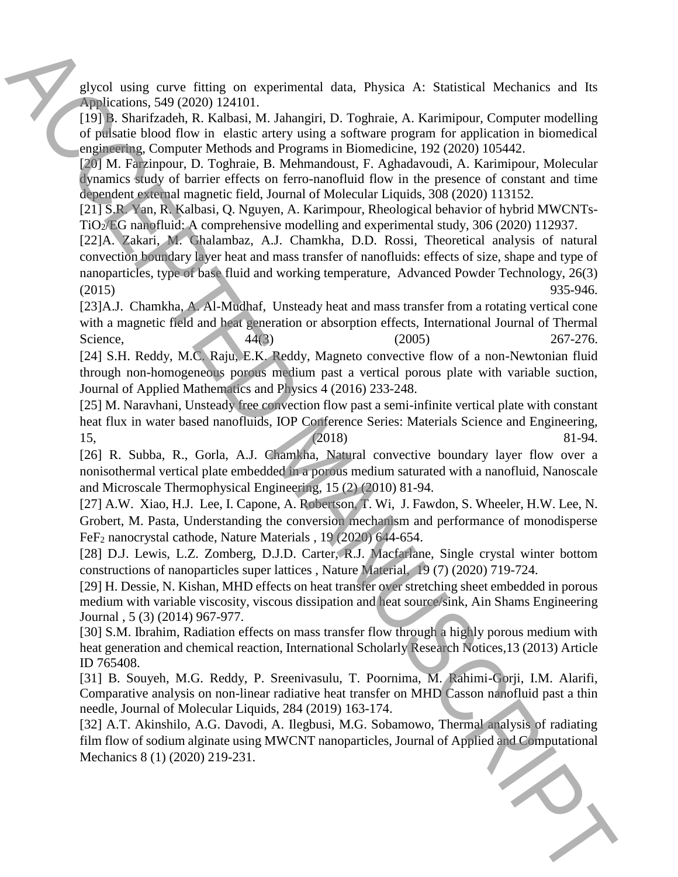glycol using curve fitting on experimental data, Physica A: Statistical Mechanics and Its Applications, 549 (2020) 124101.

[19] B. Sharifzadeh, R. Kalbasi, M. Jahangiri, D. Toghraie, A. Karimipour, Computer modelling of pulsatie blood flow in elastic artery using a software program for application in biomedical engineering, Computer Methods and Programs in Biomedicine, 192 (2020) 105442.

[20] M. Farzinpour, D. Toghraie, B. Mehmandoust, F. Aghadavoudi, A. Karimipour, Molecular dynamics study of barrier effects on ferro-nanofluid flow in the presence of constant and time dependent external magnetic field, Journal of Molecular Liquids, 308 (2020) 113152.

[21] S.R. Yan, R. Kalbasi, Q. Nguyen, A. Karimpour, Rheological behavior of hybrid MWCNTs-TiO2/EG nanofluid: A comprehensive modelling and experimental study, 306 (2020) 112937.

[22]A. Zakari, M. Ghalambaz, A.J. Chamkha, D.D. Rossi, Theoretical analysis of natural convection boundary layer heat and mass transfer of nanofluids: effects of size, shape and type of nanoparticles, type of base fluid and working temperature, Advanced Powder Technology, 26(3) (2015) 935-946. gived using cores firting on experimental data. Physics A: Statistical Mechanics and Is<br>spinletions, 50 (2009) 124103, Mahampiri, D. Tuytmis, A: Statistical Mechanics and Is<br> $\begin{pmatrix} 1001 \\ 011 \end{pmatrix}$ , Marchards, R. Hubbard

[23]A.J. Chamkha, A. Al-Mudhaf, Unsteady heat and mass transfer from a rotating vertical cone with a magnetic field and heat generation or absorption effects, International Journal of Thermal Science,  $44(3)$   $(2005)$   $267-276$ .

[24] S.H. Reddy, M.C. Raju, E.K. Reddy, Magneto convective flow of a non-Newtonian fluid through non-homogeneous porous medium past a vertical porous plate with variable suction, Journal of Applied Mathematics and Physics 4 (2016) 233-248.

[25] M. Naravhani, Unsteady free convection flow past a semi-infinite vertical plate with constant heat flux in water based nanofluids, IOP Conference Series: Materials Science and Engineering, 15, (2018) 81-94.

[26] R. Subba, R., Gorla, A.J. Chamkha, Natural convective boundary layer flow over a nonisothermal vertical plate embedded in a porous medium saturated with a nanofluid, Nanoscale and Microscale Thermophysical Engineering, 15 (2) (2010) 81-94.

[27] A.W. Xiao, H.J. Lee, I. Capone, A. Robertson, T. Wi, J. Fawdon, S. Wheeler, H.W. Lee, N. Grobert, M. Pasta, Understanding the conversion mechanism and performance of monodisperse FeF<sup>2</sup> nanocrystal cathode, Nature Materials , 19 (2020) 644-654.

[28] D.J. Lewis, L.Z. Zomberg, D.J.D. Carter, R.J. Macfarlane, Single crystal winter bottom constructions of nanoparticles super lattices , Nature Material, 19 (7) (2020) 719-724.

[29] H. Dessie, N. Kishan, MHD effects on heat transfer over stretching sheet embedded in porous medium with variable viscosity, viscous dissipation and heat source/sink, Ain Shams Engineering Journal , 5 (3) (2014) 967-977.

[30] S.M. Ibrahim, Radiation effects on mass transfer flow through a highly porous medium with heat generation and chemical reaction, International Scholarly Research Notices,13 (2013) Article ID 765408.

[31] B. Souyeh, M.G. Reddy, P. Sreenivasulu, T. Poornima, M. Rahimi-Gorji, I.M. Alarifi, Comparative analysis on non-linear radiative heat transfer on MHD Casson nanofluid past a thin needle, Journal of Molecular Liquids, 284 (2019) 163-174.

[32] A.T. Akinshilo, A.G. Davodi, A. Ilegbusi, M.G. Sobamowo, Thermal analysis of radiating film flow of sodium alginate using MWCNT nanoparticles, Journal of Applied and Computational Mechanics 8 (1) (2020) 219-231.

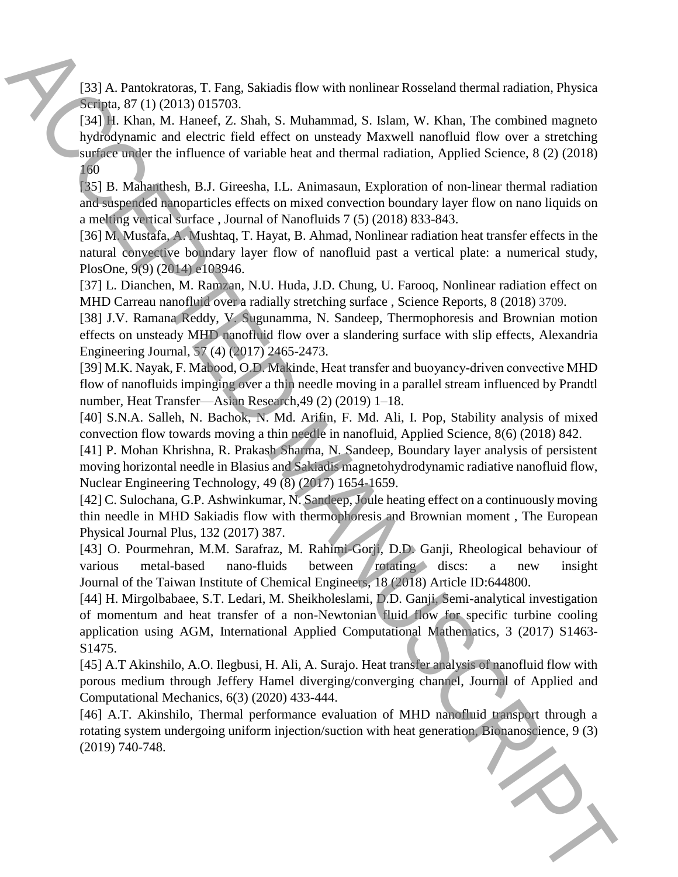[33] A. Pantokratoras, T. Fang, Sakiadis flow with nonlinear Rosseland thermal radiation, Physica Scripta, 87 (1) (2013) 015703.

[34] H. Khan, M. Haneef, Z. Shah, S. Muhammad, S. Islam, W. Khan, The combined magneto hydrodynamic and electric field effect on unsteady Maxwell nanofluid flow over a stretching surface under the influence of variable heat and thermal radiation, Applied Science, 8 (2) (2018) 160 (133) A Panolearons, T. Franç Sakishis flow with nonlinear Resectand thermal calinota, Franchi (214). Kinn, W. Hum, 11. Eures (2. Studies and the section in the section in the section in the section in the section in the

[35] B. Mahanthesh, B.J. Gireesha, I.L. Animasaun, Exploration of non-linear thermal radiation and suspended nanoparticles effects on mixed convection boundary layer flow on nano liquids on a melting vertical surface , Journal of Nanofluids 7 (5) (2018) 833-843.

[36] M. Mustafa, A. Mushtaq, T. Hayat, B. Ahmad, Nonlinear radiation heat transfer effects in the natural convective boundary layer flow of nanofluid past a vertical plate: a numerical study, PlosOne, 9(9) (2014) e103946.

[37] L. Dianchen, M. Ramzan, N.U. Huda, J.D. Chung, U. Farooq, Nonlinear radiation effect on MHD Carreau nanofluid over a radially stretching surface , Science Reports, 8 (2018) 3709.

[38] J.V. Ramana Reddy, V. Sugunamma, N. Sandeep, Thermophoresis and Brownian motion effects on unsteady MHD nanofluid flow over a slandering surface with slip effects, Alexandria Engineering Journal, 57 (4) (2017) 2465-2473.

[39] M.K. Nayak, F. Mabood, O.D. Makinde, Heat transfer and buoyancy‐driven convective MHD flow of nanofluids impinging over a thin needle moving in a parallel stream influenced by Prandtl number, Heat Transfer—Asian Research,49 (2) (2019) 1–18.

[40] S.N.A. Salleh, N. Bachok, N. Md. Arifin, F. Md. Ali, I. Pop, Stability analysis of mixed convection flow towards moving a thin needle in nanofluid, Applied Science, 8(6) (2018) 842.

[41] P. Mohan Khrishna, R. Prakash Sharma, N. Sandeep, Boundary layer analysis of persistent moving horizontal needle in Blasius and Sakiadis magnetohydrodynamic radiative nanofluid flow, Nuclear Engineering Technology, 49 (8) (2017) 1654-1659.

[42] C. Sulochana, G.P. Ashwinkumar, N. Sandeep, Joule heating effect on a continuously moving thin needle in MHD Sakiadis flow with thermophoresis and Brownian moment , The European Physical Journal Plus, 132 (2017) 387.

[43] O. Pourmehran, M.M. Sarafraz, M. Rahimi-Gorji, D.D. Ganji, Rheological behaviour of various metal-based nano-fluids between rotating discs: a new insight Journal of the Taiwan Institute of Chemical Engineers, 18 (2018) Article ID:644800.

[44] H. Mirgolbabaee, S.T. Ledari, M. Sheikholeslami, D.D. Ganji, Semi-analytical investigation of momentum and heat transfer of a non-Newtonian fluid flow for specific turbine cooling application using AGM, International Applied Computational Mathematics, 3 (2017) S1463- S1475.

[45] A.T Akinshilo, A.O. Ilegbusi, H. Ali, A. Surajo. Heat transfer analysis of nanofluid flow with porous medium through Jeffery Hamel diverging/converging channel, Journal of Applied and Computational Mechanics, 6(3) (2020) 433-444.

[46] A.T. Akinshilo, Thermal performance evaluation of MHD nanofluid transport through a rotating system undergoing uniform injection/suction with heat generation, Bionanoscience, 9 (3)